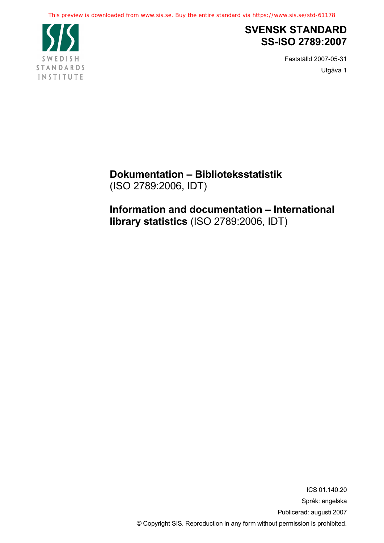

# **SVENSK STANDARD SS-ISO 2789:2007**

Fastställd 2007-05-31 Utgåva 1

**Dokumentation – Biblioteksstatistik**  (ISO 2789:2006, IDT)

**Information and documentation – International library statistics** (ISO 2789:2006, IDT)

> ICS 01.140.20 Språk: engelska Publicerad: augusti 2007 © Copyright SIS. Reproduction in any form without permission is prohibited.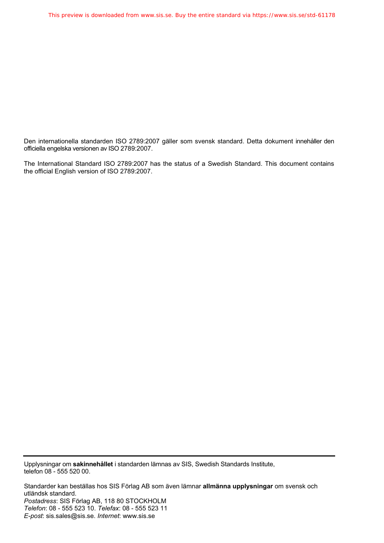Den internationella standarden ISO 2789:2007 gäller som svensk standard. Detta dokument innehåller den officiella engelska versionen av ISO 2789:2007.

The International Standard ISO 2789:2007 has the status of a Swedish Standard. This document contains the official English version of ISO 2789:2007.

Upplysningar om **sakinnehållet** i standarden lämnas av SIS, Swedish Standards Institute, telefon 08 - 555 520 00.

Standarder kan beställas hos SIS Förlag AB som även lämnar **allmänna upplysningar** om svensk och utländsk standard. *Postadress*: SIS Förlag AB, 118 80 STOCKHOLM *Telefon*: 08 - 555 523 10. *Telefax*: 08 - 555 523 11 *E-post*: sis.sales@sis.se. *Internet*: www.sis.se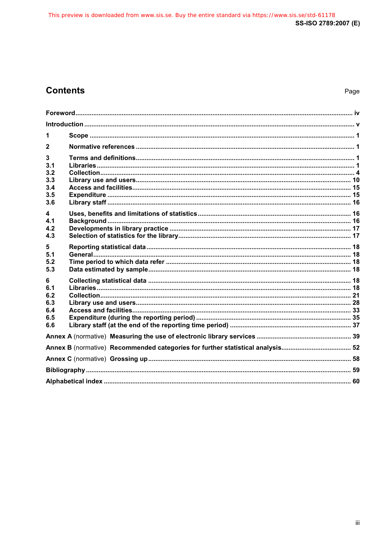# **Contents**

| 1                                           |  |  |
|---------------------------------------------|--|--|
| $\mathbf{2}$                                |  |  |
| 3<br>3.1<br>3.2<br>3.3<br>3.4               |  |  |
| 3.5<br>3.6                                  |  |  |
| 4<br>4.1<br>4.2<br>4.3                      |  |  |
| 5<br>5.1<br>5.2<br>5.3                      |  |  |
| 6<br>6.1<br>6.2<br>6.3<br>6.4<br>6.5<br>6.6 |  |  |
|                                             |  |  |
|                                             |  |  |
|                                             |  |  |
|                                             |  |  |
|                                             |  |  |
|                                             |  |  |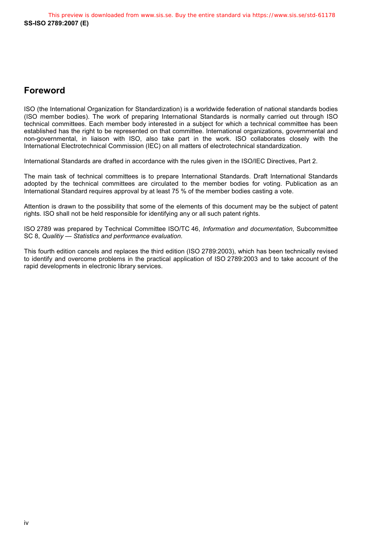# **Foreword**

ISO (the International Organization for Standardization) is a worldwide federation of national standards bodies (ISO member bodies). The work of preparing International Standards is normally carried out through ISO technical committees. Each member body interested in a subject for which a technical committee has been established has the right to be represented on that committee. International organizations, governmental and non-governmental, in liaison with ISO, also take part in the work. ISO collaborates closely with the International Electrotechnical Commission (IEC) on all matters of electrotechnical standardization.

International Standards are drafted in accordance with the rules given in the ISO/IEC Directives, Part 2.

The main task of technical committees is to prepare International Standards. Draft International Standards adopted by the technical committees are circulated to the member bodies for voting. Publication as an International Standard requires approval by at least 75 % of the member bodies casting a vote.

Attention is drawn to the possibility that some of the elements of this document may be the subject of patent rights. ISO shall not be held responsible for identifying any or all such patent rights.

ISO 2789 was prepared by Technical Committee ISO/TC 46, *Information and documentation*, Subcommittee SC 8, *Qualitiy — Statistics and performance evaluation*.

This fourth edition cancels and replaces the third edition (ISO 2789:2003), which has been technically revised to identify and overcome problems in the practical application of ISO 2789:2003 and to take account of the rapid developments in electronic library services.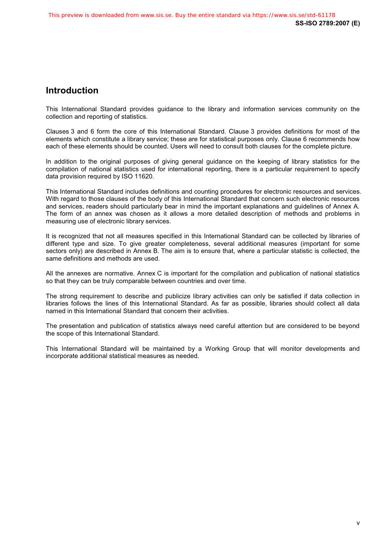# **Introduction**

This International Standard provides guidance to the library and information services community on the collection and reporting of statistics.

Clauses 3 and 6 form the core of this International Standard. Clause 3 provides definitions for most of the elements which constitute a library service; these are for statistical purposes only. Clause 6 recommends how each of these elements should be counted. Users will need to consult both clauses for the complete picture.

In addition to the original purposes of giving general guidance on the keeping of library statistics for the compilation of national statistics used for international reporting, there is a particular requirement to specify data provision required by ISO 11620.

This International Standard includes definitions and counting procedures for electronic resources and services. With regard to those clauses of the body of this International Standard that concern such electronic resources and services, readers should particularly bear in mind the important explanations and guidelines of Annex A. The form of an annex was chosen as it allows a more detailed description of methods and problems in measuring use of electronic library services.

It is recognized that not all measures specified in this International Standard can be collected by libraries of different type and size. To give greater completeness, several additional measures (important for some sectors only) are described in Annex B. The aim is to ensure that, where a particular statistic is collected, the same definitions and methods are used.

All the annexes are normative. Annex C is important for the compilation and publication of national statistics so that they can be truly comparable between countries and over time.

The strong requirement to describe and publicize library activities can only be satisfied if data collection in libraries follows the lines of this International Standard. As far as possible, libraries should collect all data named in this International Standard that concern their activities.

The presentation and publication of statistics always need careful attention but are considered to be beyond the scope of this International Standard.

This International Standard will be maintained by a Working Group that will monitor developments and incorporate additional statistical measures as needed.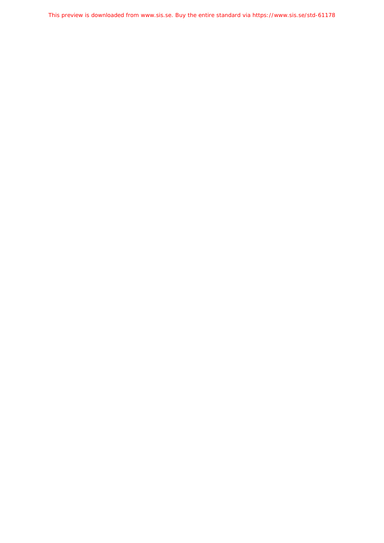This preview is downloaded from www.sis.se. Buy the entire standard via https://www.sis.se/std-61178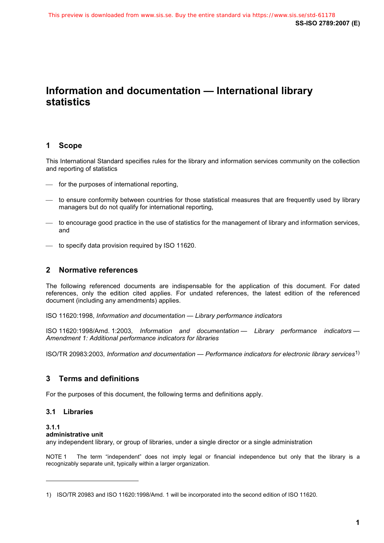# **Information and documentation — International library statistics**

# **1 Scope**

This International Standard specifies rules for the library and information services community on the collection and reporting of statistics

- $\equiv$  for the purposes of international reporting,
- $-$  to ensure conformity between countries for those statistical measures that are frequently used by library managers but do not qualify for international reporting,
- to encourage good practice in the use of statistics for the management of library and information services, and
- to specify data provision required by ISO 11620.

# **2 Normative references**

The following referenced documents are indispensable for the application of this document. For dated references, only the edition cited applies. For undated references, the latest edition of the referenced document (including any amendments) applies.

ISO 11620:1998, *Information and documentation — Library performance indicators* 

ISO 11620:1998/Amd. 1:2003, *Information and documentation — Library performance indicators — Amendment 1: Additional performance indicators for libraries*

ISO/TR 20983:2003, *Information and documentation — Performance indicators for electronic library services*1)

# **3 Terms and definitions**

For the purposes of this document, the following terms and definitions apply.

## **3.1 Libraries**

#### **3.1.1 administrative unit**

 $\overline{a}$ 

any independent library, or group of libraries, under a single director or a single administration

NOTE 1 The term "independent" does not imply legal or financial independence but only that the library is a recognizably separate unit, typically within a larger organization.

<sup>1)</sup> ISO/TR 20983 and ISO 11620:1998/Amd. 1 will be incorporated into the second edition of ISO 11620.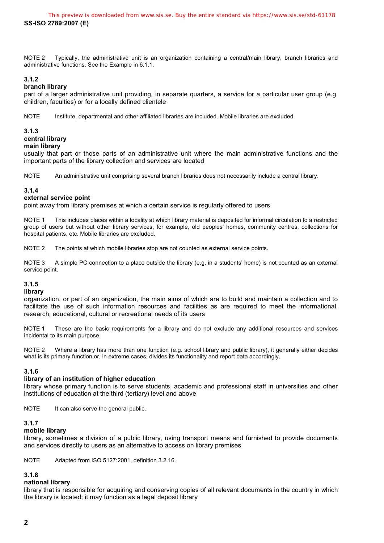NOTE 2 Typically, the administrative unit is an organization containing a central/main library, branch libraries and administrative functions. See the Example in 6.1.1.

## **3.1.2**

## **branch library**

part of a larger administrative unit providing, in separate quarters, a service for a particular user group (e.g. children, faculties) or for a locally defined clientele

NOTE Institute, departmental and other affiliated libraries are included. Mobile libraries are excluded.

## **3.1.3**

#### **central library**

#### **main library**

usually that part or those parts of an administrative unit where the main administrative functions and the important parts of the library collection and services are located

NOTE An administrative unit comprising several branch libraries does not necessarily include a central library.

## **3.1.4**

## **external service point**

point away from library premises at which a certain service is regularly offered to users

NOTE 1 This includes places within a locality at which library material is deposited for informal circulation to a restricted group of users but without other library services, for example, old peoples' homes, community centres, collections for hospital patients, etc. Mobile libraries are excluded.

NOTE 2 The points at which mobile libraries stop are not counted as external service points.

NOTE 3 A simple PC connection to a place outside the library (e.g. in a students' home) is not counted as an external service point.

# **3.1.5**

#### **library**

organization, or part of an organization, the main aims of which are to build and maintain a collection and to facilitate the use of such information resources and facilities as are required to meet the informational, research, educational, cultural or recreational needs of its users

NOTE 1 These are the basic requirements for a library and do not exclude any additional resources and services incidental to its main purpose.

NOTE 2 Where a library has more than one function (e.g. school library and public library), it generally either decides what is its primary function or, in extreme cases, divides its functionality and report data accordingly.

## **3.1.6**

## **library of an institution of higher education**

library whose primary function is to serve students, academic and professional staff in universities and other institutions of education at the third (tertiary) level and above

NOTE It can also serve the general public.

#### **3.1.7**

#### **mobile library**

library, sometimes a division of a public library, using transport means and furnished to provide documents and services directly to users as an alternative to access on library premises

NOTE Adapted from ISO 5127:2001, definition 3.2.16.

# **3.1.8**

# **national library**

library that is responsible for acquiring and conserving copies of all relevant documents in the country in which the library is located; it may function as a legal deposit library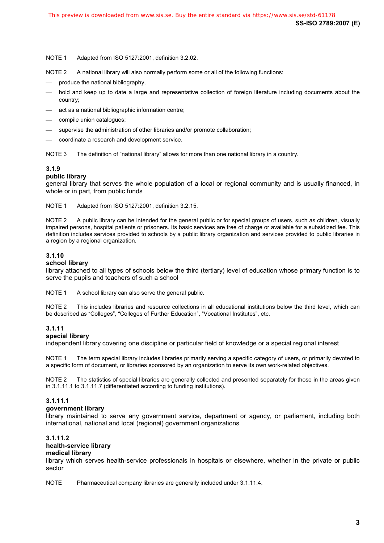## NOTE 1 Adapted from ISO 5127:2001, definition 3.2.02.

NOTE 2 A national library will also normally perform some or all of the following functions:

- produce the national bibliography,
- hold and keep up to date a large and representative collection of foreign literature including documents about the country;
- act as a national bibliographic information centre;
- compile union catalogues;
- supervise the administration of other libraries and/or promote collaboration;
- coordinate a research and development service.

NOTE 3 The definition of "national library" allows for more than one national library in a country.

# **3.1.9**

## **public library**

general library that serves the whole population of a local or regional community and is usually financed, in whole or in part, from public funds

NOTE 1 Adapted from ISO 5127:2001, definition 3.2.15.

NOTE 2 A public library can be intended for the general public or for special groups of users, such as children, visually impaired persons, hospital patients or prisoners. Its basic services are free of charge or available for a subsidized fee. This definition includes services provided to schools by a public library organization and services provided to public libraries in a region by a regional organization.

## **3.1.10**

#### **school library**

library attached to all types of schools below the third (tertiary) level of education whose primary function is to serve the pupils and teachers of such a school

NOTE 1 A school library can also serve the general public.

NOTE 2 This includes libraries and resource collections in all educational institutions below the third level, which can be described as "Colleges", "Colleges of Further Education", "Vocational Institutes", etc.

## **3.1.11**

#### **special library**

independent library covering one discipline or particular field of knowledge or a special regional interest

NOTE 1 The term special library includes libraries primarily serving a specific category of users, or primarily devoted to a specific form of document, or libraries sponsored by an organization to serve its own work-related objectives.

NOTE 2 The statistics of special libraries are generally collected and presented separately for those in the areas given in 3.1.11.1 to 3.1.11.7 (differentiated according to funding institutions).

## **3.1.11.1**

#### **government library**

library maintained to serve any government service, department or agency, or parliament, including both international, national and local (regional) government organizations

#### **3.1.11.2 health-service library**

#### **medical library**

library which serves health-service professionals in hospitals or elsewhere, whether in the private or public sector

NOTE Pharmaceutical company libraries are generally included under 3.1.11.4.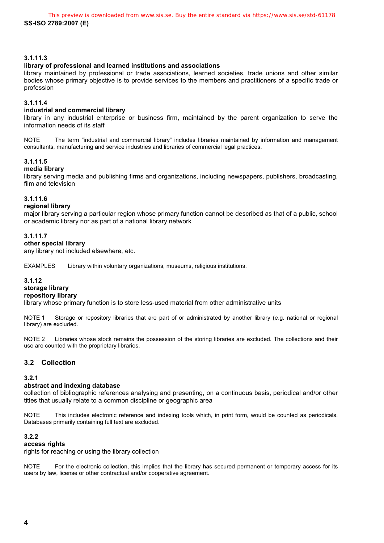## **3.1.11.3**

#### **library of professional and learned institutions and associations**

library maintained by professional or trade associations, learned societies, trade unions and other similar bodies whose primary objective is to provide services to the members and practitioners of a specific trade or profession

#### **3.1.11.4**

### **industrial and commercial library**

library in any industrial enterprise or business firm, maintained by the parent organization to serve the information needs of its staff

NOTE The term "industrial and commercial library" includes libraries maintained by information and management consultants, manufacturing and service industries and libraries of commercial legal practices.

## **3.1.11.5**

#### **media library**

library serving media and publishing firms and organizations, including newspapers, publishers, broadcasting, film and television

#### **3.1.11.6**

#### **regional library**

major library serving a particular region whose primary function cannot be described as that of a public, school or academic library nor as part of a national library network

#### **3.1.11.7**

#### **other special library**

any library not included elsewhere, etc.

EXAMPLES Library within voluntary organizations, museums, religious institutions.

#### **3.1.12**

#### **storage library**

#### **repository library**

library whose primary function is to store less-used material from other administrative units

NOTE 1 Storage or repository libraries that are part of or administrated by another library (e.g. national or regional library) are excluded.

NOTE 2 Libraries whose stock remains the possession of the storing libraries are excluded. The collections and their use are counted with the proprietary libraries.

## **3.2 Collection**

#### **3.2.1**

#### **abstract and indexing database**

collection of bibliographic references analysing and presenting, on a continuous basis, periodical and/or other titles that usually relate to a common discipline or geographic area

NOTE This includes electronic reference and indexing tools which, in print form, would be counted as periodicals. Databases primarily containing full text are excluded.

#### **3.2.2**

## **access rights**

rights for reaching or using the library collection

NOTE For the electronic collection, this implies that the library has secured permanent or temporary access for its users by law, license or other contractual and/or cooperative agreement.